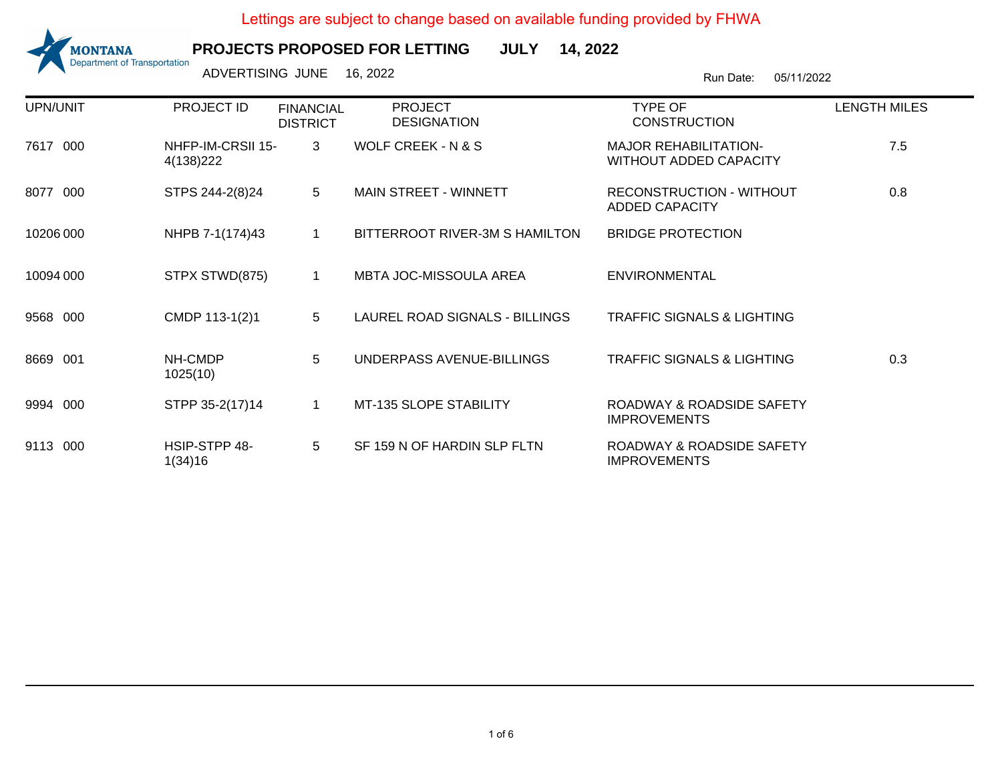

**PROJECTS PROPOSED FOR LETTINGJULY 14, 2022**

ADVERTISING JUNE 16, 2022 2001 100 2002 2003 2004 2005/11/2022

| UPN/UNIT      | PROJECT ID                      | <b>FINANCIAL</b><br><b>DISTRICT</b> | <b>PROJECT</b><br><b>DESIGNATION</b> | <b>TYPE OF</b><br><b>CONSTRUCTION</b>                         | <b>LENGTH MILES</b> |
|---------------|---------------------------------|-------------------------------------|--------------------------------------|---------------------------------------------------------------|---------------------|
| 7617 000      | NHFP-IM-CRSII 15-<br>4(138) 222 | 3                                   | <b>WOLF CREEK - N &amp; S</b>        | <b>MAJOR REHABILITATION-</b><br><b>WITHOUT ADDED CAPACITY</b> | 7.5                 |
| 8077<br>- 000 | STPS 244-2(8)24                 | $5\overline{)}$                     | MAIN STREET - WINNETT                | <b>RECONSTRUCTION - WITHOUT</b><br><b>ADDED CAPACITY</b>      | 0.8                 |
| 10206 000     | NHPB 7-1(174)43                 | $\mathbf{1}$                        | BITTERROOT RIVER-3M S HAMILTON       | <b>BRIDGE PROTECTION</b>                                      |                     |
| 10094 000     | STPX STWD(875)                  | $\mathbf 1$                         | <b>MBTA JOC-MISSOULA AREA</b>        | <b>ENVIRONMENTAL</b>                                          |                     |
| 9568 000      | CMDP 113-1(2)1                  | 5                                   | LAUREL ROAD SIGNALS - BILLINGS       | <b>TRAFFIC SIGNALS &amp; LIGHTING</b>                         |                     |
| 8669 001      | NH-CMDP<br>1025(10)             | 5                                   | UNDERPASS AVENUE-BILLINGS            | <b>TRAFFIC SIGNALS &amp; LIGHTING</b>                         | 0.3                 |
| 9994 000      | STPP 35-2(17)14                 | $\mathbf{1}$                        | MT-135 SLOPE STABILITY               | ROADWAY & ROADSIDE SAFETY<br><b>IMPROVEMENTS</b>              |                     |
| 9113 000      | HSIP-STPP 48-<br>1(34)16        | 5                                   | SF 159 N OF HARDIN SLP FLTN          | ROADWAY & ROADSIDE SAFETY<br><b>IMPROVEMENTS</b>              |                     |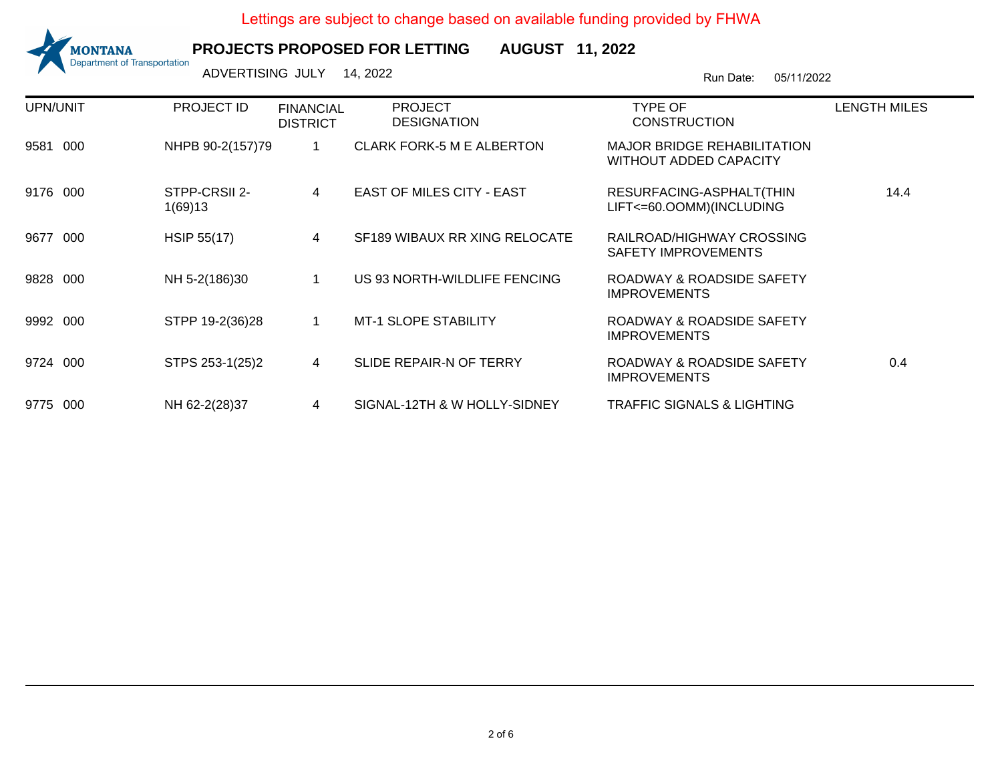

**PROJECTS PROPOSED FOR LETTINGAUGUST 11, 2022**

Run Date: 05/11/2022 ADVERTISING JULY 14, 2022

UPN/UNIT PROJECT ID FINANCIAL **DISTRICT** PROJECT DESIGNATIONTYPE OF CONSTRUCTIONLENGTH MILES9581 000NHPB 90-2(157)79 1 CLARK FORK-5 M E ALBERTON MAJOR BRIDGE REHABILITATION WITHOUT ADDED CAPACITY9176 000 STPP-CRSII 2- 1(69)13<sup>4</sup> EAST OF MILES CITY - EAST RESURFACING-ASPHALT(THINLIFT<=60.OOMM)(INCLUDING14.49677 000 HSIP 55(17) <sup>4</sup> SF189 WIBAUX RR XING RELOCATE RAILROAD/HIGHWAY CROSSINGSAFETY IMPROVEMENTS9828 000NH 5-2(186)30 1 US 93 NORTH-WILDLIFE FENCING ROADWAY & ROADSIDE SAFETY IMPROVEMENTS9992 000STPP 19-2(36)28 1 MT-1 SLOPE STABILITY ROADWAY & ROADSIDE SAFETY IMPROVEMENTS9724 000 STPS 253-1(25)2 <sup>4</sup> SLIDE REPAIR-N OF TERRY ROADWAY & ROADSIDE SAFETY IMPROVEMENTS0.49775 000NH 62-2(28)37 <sup>4</sup> SIGNAL-12TH & W HOLLY-SIDNEY TRAFFIC SIGNALS & LIGHTING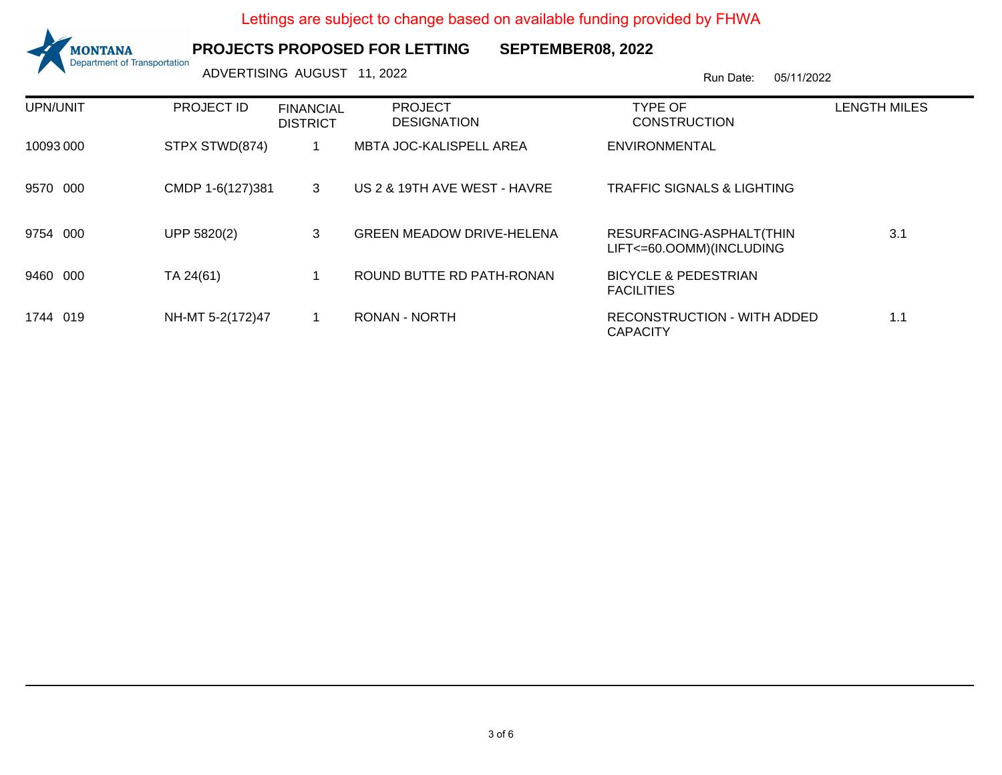

**PROJECTS PROPOSED FOR LETTING**

**SEPTEMBER08, 2022**

ADVERTISING AUGUST 11, 2022 **ADVERTISING AUGUST 11, 2022** 

| UPN/UNIT  | <b>PROJECT ID</b> | <b>FINANCIAL</b><br><b>DISTRICT</b> | <b>PROJECT</b><br><b>DESIGNATION</b> | TYPE OF<br><b>CONSTRUCTION</b>                       | <b>LENGTH MILES</b> |
|-----------|-------------------|-------------------------------------|--------------------------------------|------------------------------------------------------|---------------------|
| 10093 000 | STPX STWD(874)    |                                     | MBTA JOC-KALISPELL AREA              | <b>ENVIRONMENTAL</b>                                 |                     |
| 9570 000  | CMDP 1-6(127)381  | 3                                   | US 2 & 19TH AVE WEST - HAVRE         | <b>TRAFFIC SIGNALS &amp; LIGHTING</b>                |                     |
| 9754 000  | UPP 5820(2)       | 3                                   | <b>GREEN MEADOW DRIVE-HELENA</b>     | RESURFACING-ASPHALT(THIN<br>LIFT<=60.OOMM)(INCLUDING | 3.1                 |
| 9460 000  | TA 24(61)         |                                     | ROUND BUTTE RD PATH-RONAN            | <b>BICYCLE &amp; PEDESTRIAN</b><br><b>FACILITIES</b> |                     |
| 1744 019  | NH-MT 5-2(172)47  |                                     | RONAN - NORTH                        | RECONSTRUCTION - WITH ADDED<br><b>CAPACITY</b>       | 1.1                 |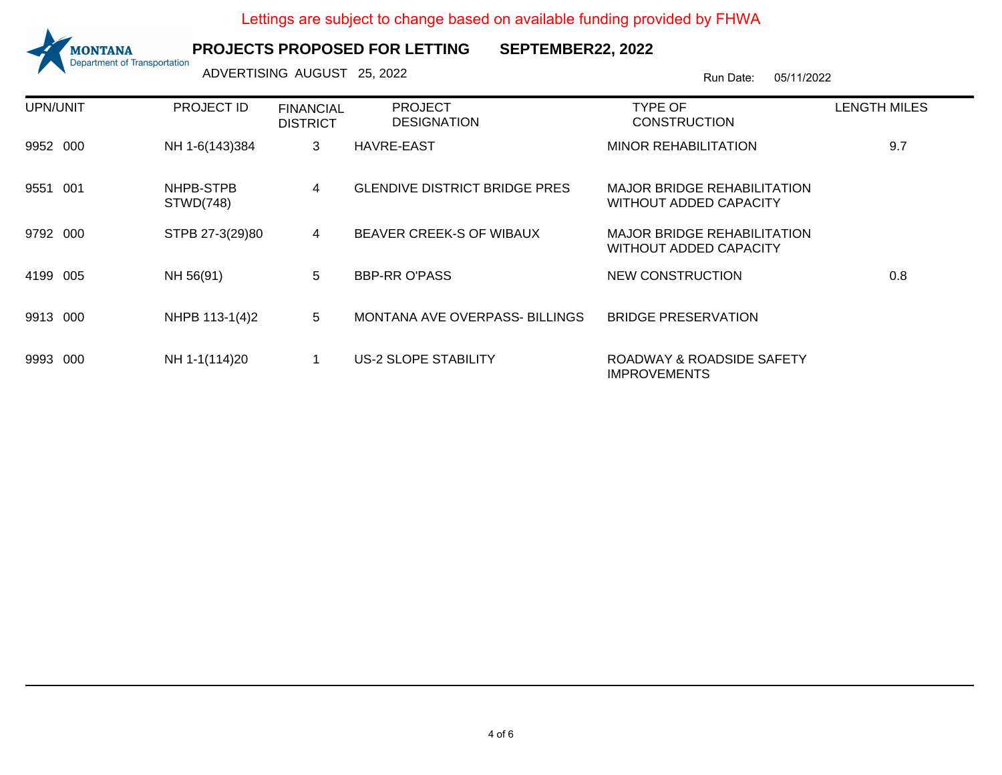

## **PROJECTS PROPOSED FOR LETTING**

**SEPTEMBER22, 2022**

ADVERTISING AUGUST 25, 2022 <br>
Run Date: 05/11/2022

| UPN/UNIT    | PROJECT ID             | <b>FINANCIAL</b><br><b>DISTRICT</b> | <b>PROJECT</b><br><b>DESIGNATION</b> | TYPE OF<br><b>CONSTRUCTION</b>                                      | <b>LENGTH MILES</b> |
|-------------|------------------------|-------------------------------------|--------------------------------------|---------------------------------------------------------------------|---------------------|
| 9952 000    | NH 1-6(143)384         | 3                                   | <b>HAVRE-EAST</b>                    | <b>MINOR REHABILITATION</b>                                         | 9.7                 |
| 9551 001    | NHPB-STPB<br>STWD(748) | 4                                   | <b>GLENDIVE DISTRICT BRIDGE PRES</b> | MAJOR BRIDGE REHABILITATION<br><b>WITHOUT ADDED CAPACITY</b>        |                     |
| 9792<br>000 | STPB 27-3(29)80        | 4                                   | BEAVER CREEK-S OF WIBAUX             | <b>MAJOR BRIDGE REHABILITATION</b><br><b>WITHOUT ADDED CAPACITY</b> |                     |
| 4199<br>005 | NH 56(91)              | 5                                   | <b>BBP-RR O'PASS</b>                 | NEW CONSTRUCTION                                                    | 0.8                 |
| 9913 000    | NHPB 113-1(4)2         | 5                                   | MONTANA AVE OVERPASS- BILLINGS       | <b>BRIDGE PRESERVATION</b>                                          |                     |
| 9993<br>000 | NH 1-1(114)20          |                                     | <b>US-2 SLOPE STABILITY</b>          | ROADWAY & ROADSIDE SAFETY<br><b>IMPROVEMENTS</b>                    |                     |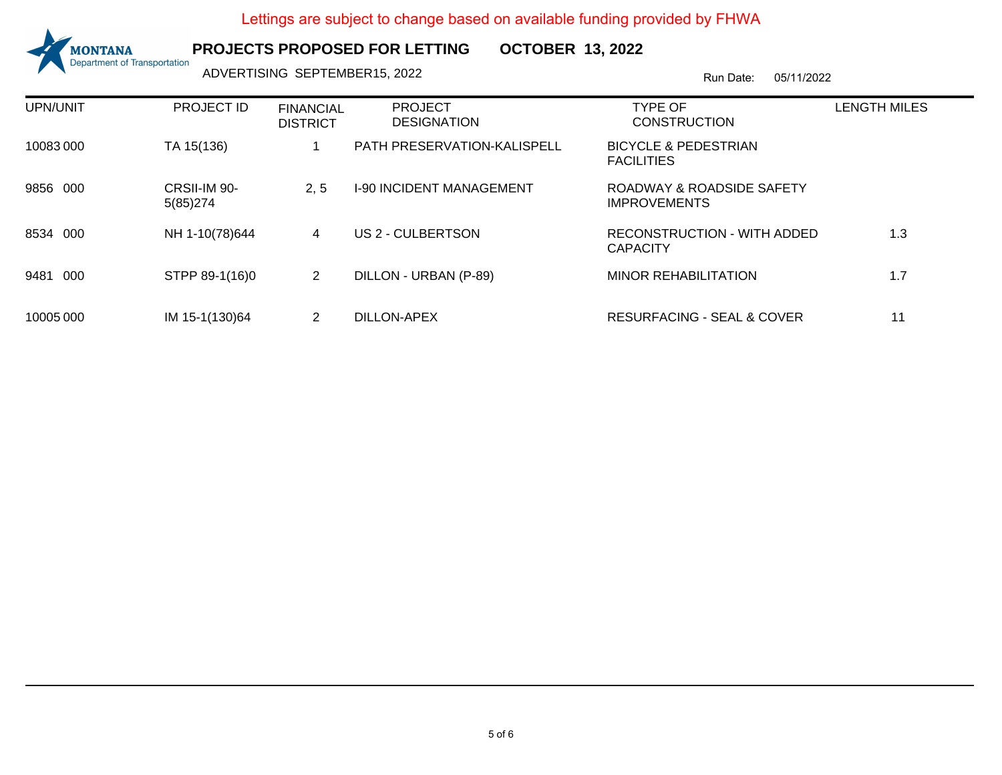

## **PROJECTS PROPOSED FOR LETTING**

**OCTOBER 13, 2022**

ADVERTISING SEPTEMBER15, 2022<br>
Run Date: 05/11/2022

| UPN/UNIT    | <b>PROJECT ID</b>        | <b>FINANCIAL</b><br><b>DISTRICT</b> | <b>PROJECT</b><br><b>DESIGNATION</b> | <b>TYPE OF</b><br><b>CONSTRUCTION</b>                | <b>LENGTH MILES</b> |
|-------------|--------------------------|-------------------------------------|--------------------------------------|------------------------------------------------------|---------------------|
| 10083000    | TA 15(136)               |                                     | PATH PRESERVATION-KALISPELL          | <b>BICYCLE &amp; PEDESTRIAN</b><br><b>FACILITIES</b> |                     |
| 9856 000    | CRSII-IM 90-<br>5(85)274 | 2.5                                 | <b>I-90 INCIDENT MANAGEMENT</b>      | ROADWAY & ROADSIDE SAFETY<br><b>IMPROVEMENTS</b>     |                     |
| 000<br>8534 | NH 1-10(78)644           | 4                                   | US 2 - CULBERTSON                    | RECONSTRUCTION - WITH ADDED<br><b>CAPACITY</b>       | 1.3                 |
| 000<br>9481 | STPP 89-1(16)0           | 2                                   | DILLON - URBAN (P-89)                | <b>MINOR REHABILITATION</b>                          | 1.7                 |
| 10005 000   | IM 15-1(130)64           | 2                                   | DILLON-APEX                          | <b>RESURFACING - SEAL &amp; COVER</b>                | 11                  |